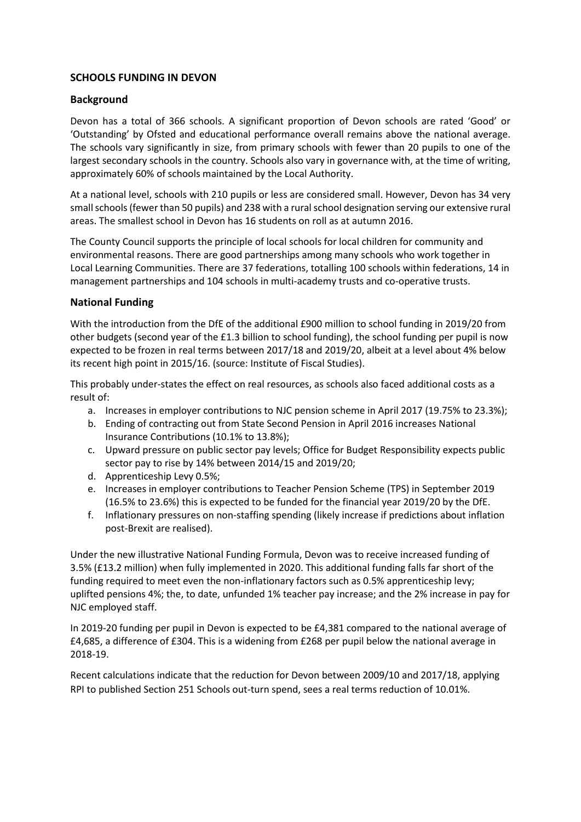## **SCHOOLS FUNDING IN DEVON**

## **Background**

Devon has a total of 366 schools. A significant proportion of Devon schools are rated 'Good' or 'Outstanding' by Ofsted and educational performance overall remains above the national average. The schools vary significantly in size, from primary schools with fewer than 20 pupils to one of the largest secondary schools in the country. Schools also vary in governance with, at the time of writing, approximately 60% of schools maintained by the Local Authority.

At a national level, schools with 210 pupils or less are considered small. However, Devon has 34 very small schools (fewer than 50 pupils) and 238 with a rural school designation serving our extensive rural areas. The smallest school in Devon has 16 students on roll as at autumn 2016.

The County Council supports the principle of local schools for local children for community and environmental reasons. There are good partnerships among many schools who work together in Local Learning Communities. There are 37 federations, totalling 100 schools within federations, 14 in management partnerships and 104 schools in multi-academy trusts and co-operative trusts.

#### **National Funding**

With the introduction from the DfE of the additional £900 million to school funding in 2019/20 from other budgets (second year of the £1.3 billion to school funding), the school funding per pupil is now expected to be frozen in real terms between 2017/18 and 2019/20, albeit at a level about 4% below its recent high point in 2015/16. (source: Institute of Fiscal Studies).

This probably under-states the effect on real resources, as schools also faced additional costs as a result of:

- a. Increases in employer contributions to NJC pension scheme in April 2017 (19.75% to 23.3%);
- b. Ending of contracting out from State Second Pension in April 2016 increases National Insurance Contributions (10.1% to 13.8%);
- c. Upward pressure on public sector pay levels; Office for Budget Responsibility expects public sector pay to rise by 14% between 2014/15 and 2019/20;
- d. Apprenticeship Levy 0.5%;
- e. Increases in employer contributions to Teacher Pension Scheme (TPS) in September 2019 (16.5% to 23.6%) this is expected to be funded for the financial year 2019/20 by the DfE.
- f. Inflationary pressures on non-staffing spending (likely increase if predictions about inflation post-Brexit are realised).

Under the new illustrative National Funding Formula, Devon was to receive increased funding of 3.5% (£13.2 million) when fully implemented in 2020. This additional funding falls far short of the funding required to meet even the non-inflationary factors such as 0.5% apprenticeship levy; uplifted pensions 4%; the, to date, unfunded 1% teacher pay increase; and the 2% increase in pay for NJC employed staff.

In 2019-20 funding per pupil in Devon is expected to be £4,381 compared to the national average of £4,685, a difference of £304. This is a widening from £268 per pupil below the national average in 2018-19.

Recent calculations indicate that the reduction for Devon between 2009/10 and 2017/18, applying RPI to published Section 251 Schools out-turn spend, sees a real terms reduction of 10.01%.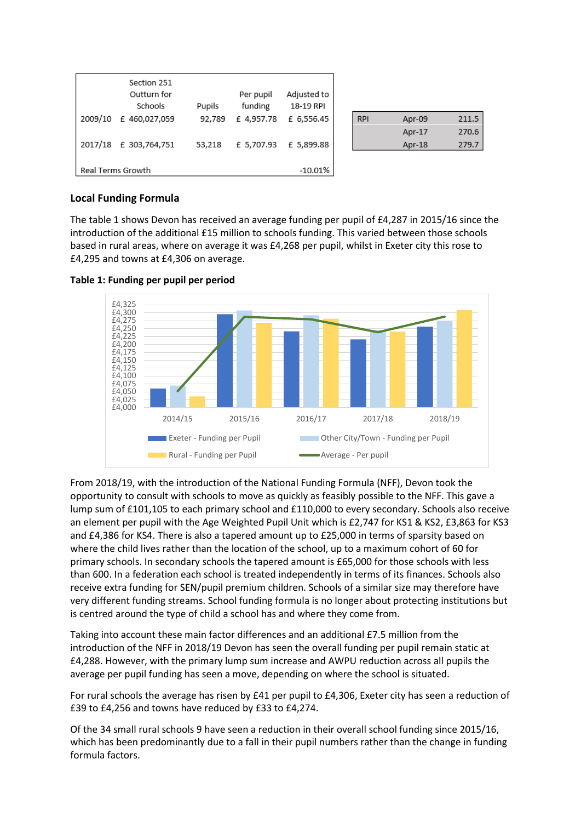| 2009/10<br>2017/18             | Section 251<br>Outturn for<br>Schools<br>£460,027,059<br>£ 303,764,751 | Pupils<br>92,789<br>53,218 | Per pupil<br>funding<br>£4,957.78<br>£ 5,707.93 | Adjusted to<br>18-19 RPI<br>£ 6,556.45<br>£ 5,899.88 |  |
|--------------------------------|------------------------------------------------------------------------|----------------------------|-------------------------------------------------|------------------------------------------------------|--|
| Real Terms Growth<br>$-10.01%$ |                                                                        |                            |                                                 |                                                      |  |

| <b>RPI</b> | Apr-09 | 211.5 |
|------------|--------|-------|
|            | Apr-17 | 270.6 |
|            | Apr-18 | 279.7 |

#### **Local Funding Formula**

The table 1 shows Devon has received an average funding per pupil of £4,287 in 2015/16 since the introduction of the additional £15 million to schools funding. This varied between those schools based in rural areas, where on average it was £4,268 per pupil, whilst in Exeter city this rose to £4,295 and towns at £4,306 on average.



#### **Table 1: Funding per pupil per period**

From 2018/19, with the introduction of the National Funding Formula (NFF), Devon took the opportunity to consult with schools to move as quickly as feasibly possible to the NFF. This gave a lump sum of £101,105 to each primary school and £110,000 to every secondary. Schools also receive an element per pupil with the Age Weighted Pupil Unit which is £2,747 for KS1 & KS2, £3,863 for KS3 and £4,386 for KS4. There is also a tapered amount up to £25,000 in terms of sparsity based on where the child lives rather than the location of the school, up to a maximum cohort of 60 for primary schools. In secondary schools the tapered amount is £65,000 for those schools with less than 600. In a federation each school is treated independently in terms of its finances. Schools also receive extra funding for SEN/pupil premium children. Schools of a similar size may therefore have very different funding streams. School funding formula is no longer about protecting institutions but is centred around the type of child a school has and where they come from.

Taking into account these main factor differences and an additional £7.5 million from the introduction of the NFF in 2018/19 Devon has seen the overall funding per pupil remain static at £4,288. However, with the primary lump sum increase and AWPU reduction across all pupils the average per pupil funding has seen a move, depending on where the school is situated.

For rural schools the average has risen by £41 per pupil to £4,306, Exeter city has seen a reduction of £39 to £4,256 and towns have reduced by £33 to £4,274.

Of the 34 small rural schools 9 have seen a reduction in their overall school funding since 2015/16, which has been predominantly due to a fall in their pupil numbers rather than the change in funding formula factors.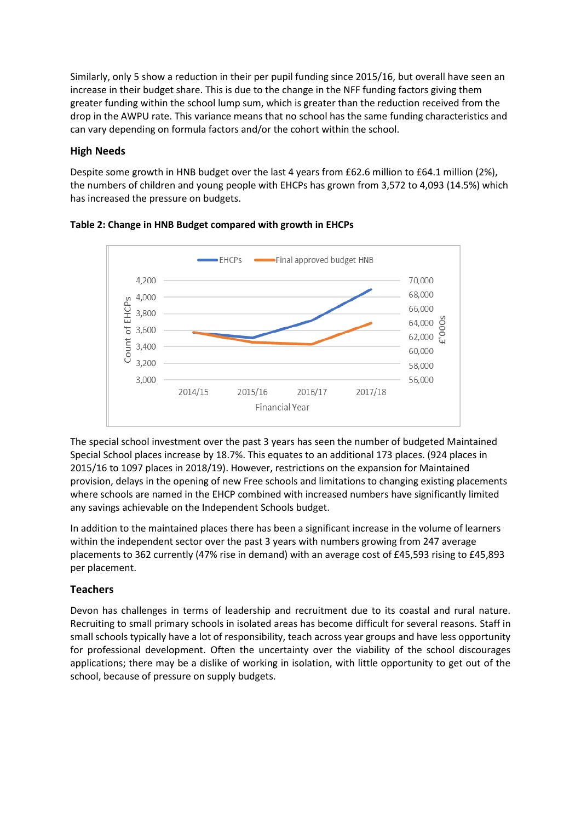Similarly, only 5 show a reduction in their per pupil funding since 2015/16, but overall have seen an increase in their budget share. This is due to the change in the NFF funding factors giving them greater funding within the school lump sum, which is greater than the reduction received from the drop in the AWPU rate. This variance means that no school has the same funding characteristics and can vary depending on formula factors and/or the cohort within the school.

## **High Needs**

Despite some growth in HNB budget over the last 4 years from £62.6 million to £64.1 million (2%), the numbers of children and young people with EHCPs has grown from 3,572 to 4,093 (14.5%) which has increased the pressure on budgets.





The special school investment over the past 3 years has seen the number of budgeted Maintained Special School places increase by 18.7%. This equates to an additional 173 places. (924 places in 2015/16 to 1097 places in 2018/19). However, restrictions on the expansion for Maintained provision, delays in the opening of new Free schools and limitations to changing existing placements where schools are named in the EHCP combined with increased numbers have significantly limited any savings achievable on the Independent Schools budget.

In addition to the maintained places there has been a significant increase in the volume of learners within the independent sector over the past 3 years with numbers growing from 247 average placements to 362 currently (47% rise in demand) with an average cost of £45,593 rising to £45,893 per placement.

## **Teachers**

Devon has challenges in terms of leadership and recruitment due to its coastal and rural nature. Recruiting to small primary schools in isolated areas has become difficult for several reasons. Staff in small schools typically have a lot of responsibility, teach across year groups and have less opportunity for professional development. Often the uncertainty over the viability of the school discourages applications; there may be a dislike of working in isolation, with little opportunity to get out of the school, because of pressure on supply budgets.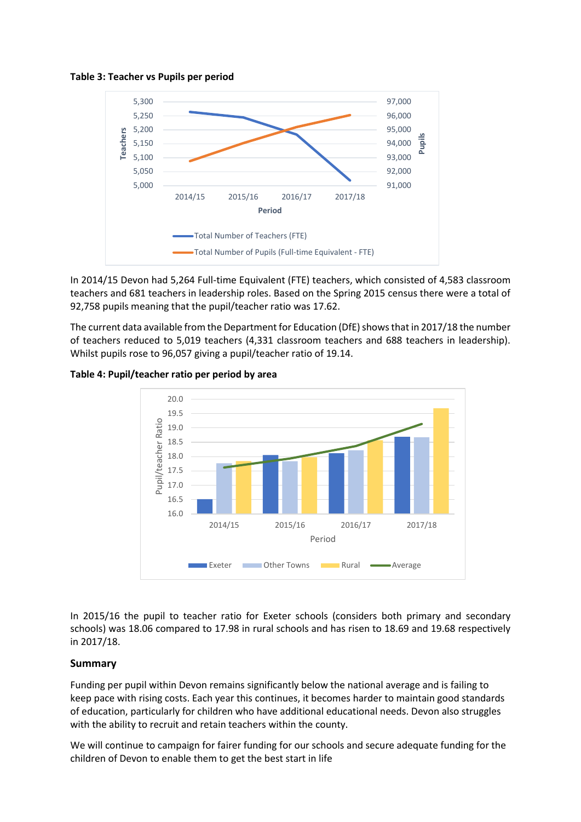#### **Table 3: Teacher vs Pupils per period**



In 2014/15 Devon had 5,264 Full-time Equivalent (FTE) teachers, which consisted of 4,583 classroom teachers and 681 teachers in leadership roles. Based on the Spring 2015 census there were a total of 92,758 pupils meaning that the pupil/teacher ratio was 17.62.

The current data available from the Department for Education (DfE) shows that in 2017/18 the number of teachers reduced to 5,019 teachers (4,331 classroom teachers and 688 teachers in leadership). Whilst pupils rose to 96,057 giving a pupil/teacher ratio of 19.14.

## 20.0 19.5 Pupil/teacher Ratio Pupil/teacher Ratio 19.0 18.5 18.0 17.5 17.0 16.5 16.0 2014/15 2015/16 2016/17 2017/18 Period **Exeter Cother Towns Rural Average**

## **Table 4: Pupil/teacher ratio per period by area**

In 2015/16 the pupil to teacher ratio for Exeter schools (considers both primary and secondary schools) was 18.06 compared to 17.98 in rural schools and has risen to 18.69 and 19.68 respectively in 2017/18.

## **Summary**

Funding per pupil within Devon remains significantly below the national average and is failing to keep pace with rising costs. Each year this continues, it becomes harder to maintain good standards of education, particularly for children who have additional educational needs. Devon also struggles with the ability to recruit and retain teachers within the county.

We will continue to campaign for fairer funding for our schools and secure adequate funding for the children of Devon to enable them to get the best start in life